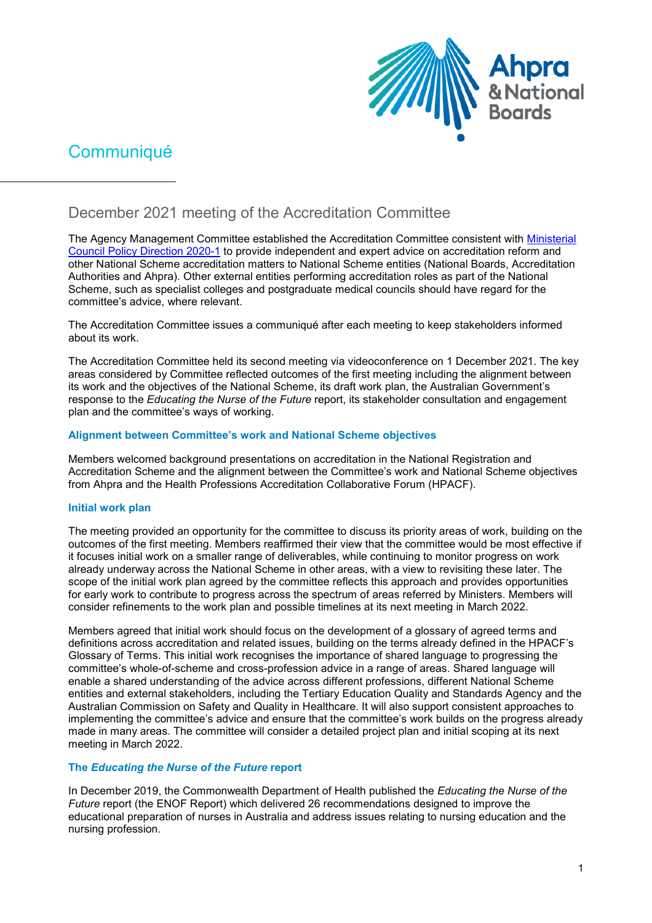

# **Communiqué**

# December 2021 meeting of the Accreditation Committee

The Agency Management Committee established the Accreditation Committee consistent with [Ministerial](https://www.ahpra.gov.au/documents/default.aspx?record=WD21%2f30743&dbid=AP&chksum=vM%2bbioO3j3FfDjp14zP3wQ%3d%3d)  [Council Policy Direction 2020-1](https://www.ahpra.gov.au/documents/default.aspx?record=WD21%2f30743&dbid=AP&chksum=vM%2bbioO3j3FfDjp14zP3wQ%3d%3d) to provide independent and expert advice on accreditation reform and other National Scheme accreditation matters to National Scheme entities (National Boards, Accreditation Authorities and Ahpra). Other external entities performing accreditation roles as part of the National Scheme, such as specialist colleges and postgraduate medical councils should have regard for the committee's advice, where relevant.

The Accreditation Committee issues a communiqué after each meeting to keep stakeholders informed about its work.

The Accreditation Committee held its second meeting via videoconference on 1 December 2021. The key areas considered by Committee reflected outcomes of the first meeting including the alignment between its work and the objectives of the National Scheme, its draft work plan, the Australian Government's response to the *Educating the Nurse of the Future* report, its stakeholder consultation and engagement plan and the committee's ways of working.

### **Alignment between Committee's work and National Scheme objectives**

Members welcomed background presentations on accreditation in the National Registration and Accreditation Scheme and the alignment between the Committee's work and National Scheme objectives from Ahpra and the Health Professions Accreditation Collaborative Forum (HPACF).

# **Initial work plan**

The meeting provided an opportunity for the committee to discuss its priority areas of work, building on the outcomes of the first meeting. Members reaffirmed their view that the committee would be most effective if it focuses initial work on a smaller range of deliverables, while continuing to monitor progress on work already underway across the National Scheme in other areas, with a view to revisiting these later. The scope of the initial work plan agreed by the committee reflects this approach and provides opportunities for early work to contribute to progress across the spectrum of areas referred by Ministers. Members will consider refinements to the work plan and possible timelines at its next meeting in March 2022.

Members agreed that initial work should focus on the development of a glossary of agreed terms and definitions across accreditation and related issues, building on the terms already defined in the HPACF's Glossary of Terms. This initial work recognises the importance of shared language to progressing the committee's whole-of-scheme and cross-profession advice in a range of areas. Shared language will enable a shared understanding of the advice across different professions, different National Scheme entities and external stakeholders, including the Tertiary Education Quality and Standards Agency and the Australian Commission on Safety and Quality in Healthcare. It will also support consistent approaches to implementing the committee's advice and ensure that the committee's work builds on the progress already made in many areas. The committee will consider a detailed project plan and initial scoping at its next meeting in March 2022.

# **The** *Educating the Nurse of the Future* **report**

In December 2019, the Commonwealth Department of Health published the *Educating the Nurse of the Future* report (the ENOF Report) which delivered 26 recommendations designed to improve the educational preparation of nurses in Australia and address issues relating to nursing education and the nursing profession.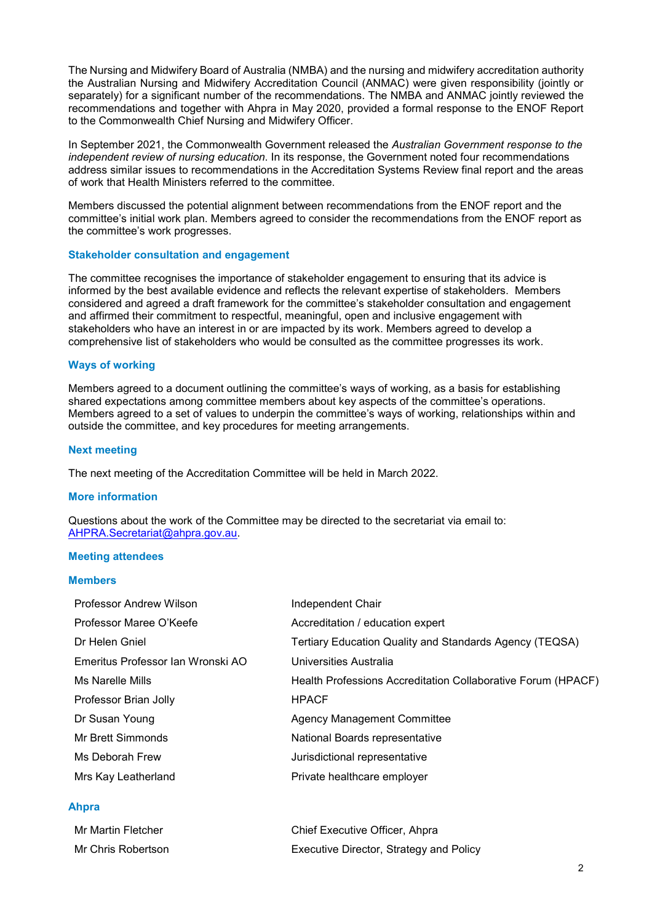The Nursing and Midwifery Board of Australia (NMBA) and the nursing and midwifery accreditation authority the Australian Nursing and Midwifery Accreditation Council (ANMAC) were given responsibility (jointly or separately) for a significant number of the recommendations. The NMBA and ANMAC jointly reviewed the recommendations and together with Ahpra in May 2020, provided a formal response to the ENOF Report to the Commonwealth Chief Nursing and Midwifery Officer.

In September 2021, the Commonwealth Government released the *Australian Government response to the independent review of nursing education*. In its response, the Government noted four recommendations address similar issues to recommendations in the Accreditation Systems Review final report and the areas of work that Health Ministers referred to the committee.

Members discussed the potential alignment between recommendations from the ENOF report and the committee's initial work plan. Members agreed to consider the recommendations from the ENOF report as the committee's work progresses.

#### **Stakeholder consultation and engagement**

The committee recognises the importance of stakeholder engagement to ensuring that its advice is informed by the best available evidence and reflects the relevant expertise of stakeholders. Members considered and agreed a draft framework for the committee's stakeholder consultation and engagement and affirmed their commitment to respectful, meaningful, open and inclusive engagement with stakeholders who have an interest in or are impacted by its work. Members agreed to develop a comprehensive list of stakeholders who would be consulted as the committee progresses its work.

#### **Ways of working**

Members agreed to a document outlining the committee's ways of working, as a basis for establishing shared expectations among committee members about key aspects of the committee's operations. Members agreed to a set of values to underpin the committee's ways of working, relationships within and outside the committee, and key procedures for meeting arrangements.

#### **Next meeting**

The next meeting of the Accreditation Committee will be held in March 2022.

#### **More information**

Questions about the work of the Committee may be directed to the secretariat via email to: [AHPRA.Secretariat@ahpra.gov.au.](mailto:AHPRA.Secretariat@ahpra.gov.au)

#### **Meeting attendees**

#### **Members**

| Professor Andrew Wilson           | Independent Chair                                            |
|-----------------------------------|--------------------------------------------------------------|
| Professor Maree O'Keefe           | Accreditation / education expert                             |
| Dr Helen Gniel                    | Tertiary Education Quality and Standards Agency (TEQSA)      |
| Emeritus Professor Ian Wronski AO | Universities Australia                                       |
| Ms Narelle Mills                  | Health Professions Accreditation Collaborative Forum (HPACF) |
| Professor Brian Jolly             | <b>HPACF</b>                                                 |
| Dr Susan Young                    | <b>Agency Management Committee</b>                           |
| Mr Brett Simmonds                 | National Boards representative                               |
| Ms Deborah Frew                   | Jurisdictional representative                                |
| Mrs Kay Leatherland               | Private healthcare employer                                  |
|                                   |                                                              |

#### **Ahpra**

| Mr Martin Fletcher | Chief Executive Officer, Ahpra          |
|--------------------|-----------------------------------------|
| Mr Chris Robertson | Executive Director, Strategy and Policy |